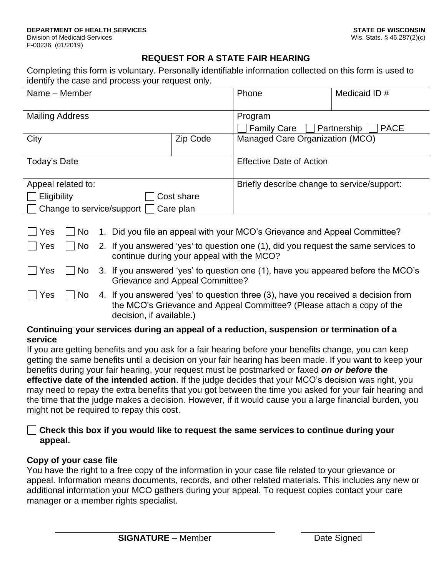#### **REQUEST FOR A STATE FAIR HEARING**

Completing this form is voluntary. Personally identifiable information collected on this form is used to identify the case and process your request only.

| Name - Member                       |      |                                                                           |                                                                                                                                                             |  | Phone                                       | Medicaid ID #              |  |
|-------------------------------------|------|---------------------------------------------------------------------------|-------------------------------------------------------------------------------------------------------------------------------------------------------------|--|---------------------------------------------|----------------------------|--|
| <b>Mailing Address</b>              |      |                                                                           |                                                                                                                                                             |  | Program                                     |                            |  |
|                                     |      |                                                                           |                                                                                                                                                             |  | <b>Family Care</b>                          | Partnership<br><b>PACE</b> |  |
| City<br>Zip Code                    |      |                                                                           |                                                                                                                                                             |  | Managed Care Organization (MCO)             |                            |  |
|                                     |      |                                                                           |                                                                                                                                                             |  |                                             |                            |  |
| Today's Date                        |      |                                                                           |                                                                                                                                                             |  | <b>Effective Date of Action</b>             |                            |  |
|                                     |      |                                                                           |                                                                                                                                                             |  | Briefly describe change to service/support: |                            |  |
| Appeal related to:                  |      |                                                                           |                                                                                                                                                             |  |                                             |                            |  |
| Eligibility<br>Cost share           |      |                                                                           |                                                                                                                                                             |  |                                             |                            |  |
| Change to service/support Care plan |      |                                                                           |                                                                                                                                                             |  |                                             |                            |  |
|                                     |      |                                                                           |                                                                                                                                                             |  |                                             |                            |  |
| Yes                                 | No   | 1. Did you file an appeal with your MCO's Grievance and Appeal Committee? |                                                                                                                                                             |  |                                             |                            |  |
| Yes                                 | No   |                                                                           | 2. If you answered 'yes' to question one (1), did you request the same services to<br>continue during your appeal with the MCO?                             |  |                                             |                            |  |
| $\Box$ Yes                          | No   |                                                                           | 3. If you answered 'yes' to question one (1), have you appeared before the MCO's<br><b>Grievance and Appeal Committee?</b>                                  |  |                                             |                            |  |
| Yes                                 | No l |                                                                           | 4. If you answered 'yes' to question three (3), have you received a decision from<br>the MCO's Grievance and Appeal Committee? (Please attach a copy of the |  |                                             |                            |  |

#### **Continuing your services during an appeal of a reduction, suspension or termination of a service**

If you are getting benefits and you ask for a fair hearing before your benefits change, you can keep getting the same benefits until a decision on your fair hearing has been made. If you want to keep your benefits during your fair hearing, your request must be postmarked or faxed *on or before* **the effective date of the intended action**. If the judge decides that your MCO's decision was right, you may need to repay the extra benefits that you got between the time you asked for your fair hearing and the time that the judge makes a decision. However, if it would cause you a large financial burden, you might not be required to repay this cost.

#### **Check this box if you would like to request the same services to continue during your appeal.**

#### **Copy of your case file**

You have the right to a free copy of the information in your case file related to your grievance or appeal. Information means documents, records, and other related materials. This includes any new or additional information your MCO gathers during your appeal. To request copies contact your care manager or a member rights specialist.

decision, if available.)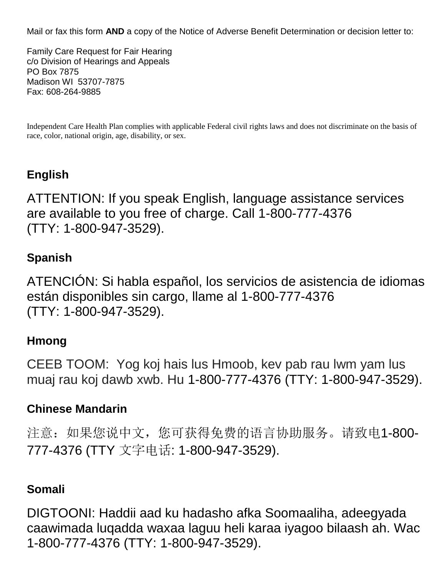Mail or fax this form **AND** a copy of the Notice of Adverse Benefit Determination or decision letter to:

Family Care Request for Fair Hearing c/o Division of Hearings and Appeals PO Box 7875 Madison WI 53707-7875 Fax: 608-264-9885

Independent Care Health Plan complies with applicable Federal civil rights laws and does not discriminate on the basis of race, color, national origin, age, disability, or sex.

## **English**

ATTENTION: If you speak English, language assistance services are available to you free of charge. Call 1-800-777-4376 (TTY: 1-800-947-3529).

### **Spanish**

ATENCIÓN: Si habla español, los servicios de asistencia de idiomas están disponibles sin cargo, llame al 1-800-777-4376 (TTY: 1-800-947-3529).

#### **Hmong**

CEEB TOOM: Yog koj hais lus Hmoob, kev pab rau lwm yam lus muaj rau koj dawb xwb. Hu 1-800-777-4376 (TTY: 1-800-947-3529).

### **Chinese Mandarin**

注意:如果您说中文,您可获得免费的语言协助服务。请致电1-800- 777-4376 (TTY 文字电话: 1-800-947-3529).

### **Somali**

DIGTOONI: Haddii aad ku hadasho afka Soomaaliha, adeegyada caawimada luqadda waxaa laguu heli karaa iyagoo bilaash ah. Wac 1-800-777-4376 (TTY: 1-800-947-3529).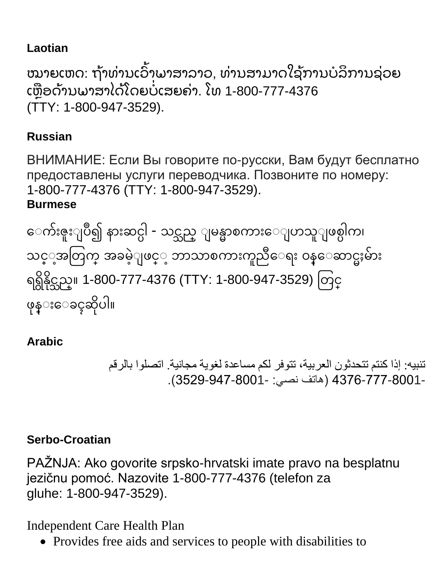## **Laotian**

ໝາຍເຫດ: ຖ້າທ່ານເວົາພາສາລາວ, ທ່ານສາມາດໃຊ້ການບໍລິການຊ່ວຍ ່ ່ ໍ ເຫຼືອດ້ານພາສາໄດ້ໂດຍບໍເສຍຄ່າ. ໂທ 1-800-777-4376 ໍ (TTY: 1-800-947-3529).

## **Russian**

ВНИМАНИЕ: Если Вы говорите по-русски, Вам будут бесплатно предоставлены услуги переводчика. Позвоните по номеру: 1-800-777-4376 (TTY: 1-800-947-3529).

### **Burmese**

ေက်းဇူးျပဳ၍ နားဆင္ပါ - သင္သည္ ျမန္မာစကားေျပာသူျဖစ္ပါက၊ သင္္အအတြက္ အခမဲ့ျဖင္္ ဘာသာစကားကူညီေရး ၀န္ေဆာင္မႈမ်ား ရရ ွိန္ွိိုင္သည္။ 1-800-777-4376 (TTY: 1-800-947-3529) တြင္္ ဖုန္းေခၚဆိုပါ။

# **Arabic**

تنبيه: إذا كنتم تتحدثون العربية، تتوفر لكم مساعدة لغوية مجانية. اتصلوا بالرقم 4376-777-8001- )هاتف نصي: 3529-947-8001-(.

## **Serbo-Croatian**

PAŽNJA: Ako govorite srpsko-hrvatski imate pravo na besplatnu jezičnu pomoć. Nazovite 1-800-777-4376 (telefon za gluhe: 1-800-947-3529).

Independent Care Health Plan

• Provides free aids and services to people with disabilities to